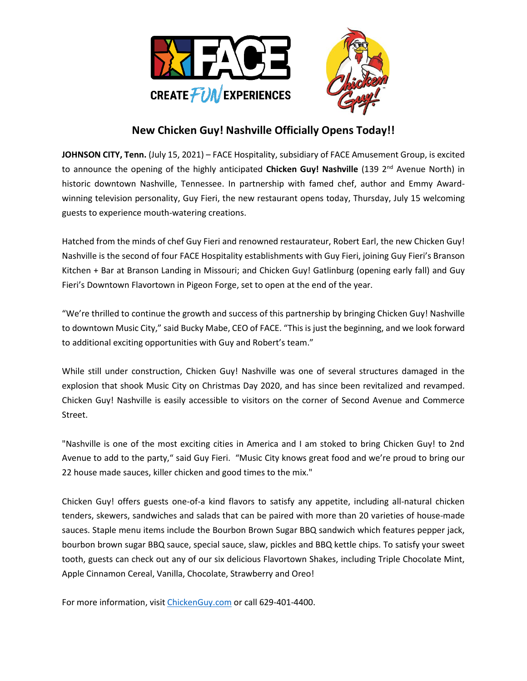

## **New Chicken Guy! Nashville Officially Opens Today!!**

**JOHNSON CITY, Tenn.** (July 15, 2021) – FACE Hospitality, subsidiary of FACE Amusement Group, is excited to announce the opening of the highly anticipated **Chicken Guy! Nashville** (139 2<sup>nd</sup> Avenue North) in historic downtown Nashville, Tennessee. In partnership with famed chef, author and Emmy Awardwinning television personality, Guy Fieri, the new restaurant opens today, Thursday, July 15 welcoming guests to experience mouth-watering creations.

Hatched from the minds of chef Guy Fieri and renowned restaurateur, Robert Earl, the new Chicken Guy! Nashville is the second of four FACE Hospitality establishments with Guy Fieri, joining Guy Fieri's Branson Kitchen + Bar at Branson Landing in Missouri; and Chicken Guy! Gatlinburg (opening early fall) and Guy Fieri's Downtown Flavortown in Pigeon Forge, set to open at the end of the year.

"We're thrilled to continue the growth and success of this partnership by bringing Chicken Guy! Nashville to downtown Music City," said Bucky Mabe, CEO of FACE. "This is just the beginning, and we look forward to additional exciting opportunities with Guy and Robert's team."

While still under construction, Chicken Guy! Nashville was one of several structures damaged in the explosion that shook Music City on Christmas Day 2020, and has since been revitalized and revamped. Chicken Guy! Nashville is easily accessible to visitors on the corner of Second Avenue and Commerce Street.

"Nashville is one of the most exciting cities in America and I am stoked to bring Chicken Guy! to 2nd Avenue to add to the party," said Guy Fieri. "Music City knows great food and we're proud to bring our 22 house made sauces, killer chicken and good times to the mix."

Chicken Guy! offers guests one-of-a kind flavors to satisfy any appetite, including all-natural chicken tenders, skewers, sandwiches and salads that can be paired with more than 20 varieties of house-made sauces. Staple menu items include the Bourbon Brown Sugar BBQ sandwich which features pepper jack, bourbon brown sugar BBQ sauce, special sauce, slaw, pickles and BBQ kettle chips. To satisfy your sweet tooth, guests can check out any of our six delicious Flavortown Shakes, including Triple Chocolate Mint, Apple Cinnamon Cereal, Vanilla, Chocolate, Strawberry and Oreo!

For more information, visi[t ChickenGuy.com](https://chickenguy.com/) or call 629-401-4400.